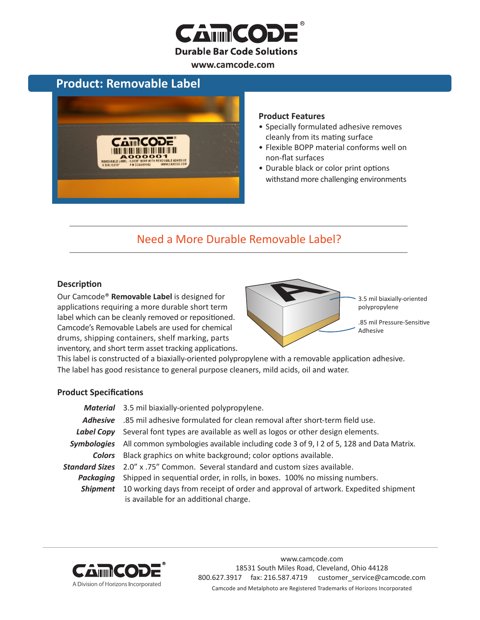

### **Product: Removable Label**



#### **Product Features**

- Specially formulated adhesive removes cleanly from its mating surface
- Flexible BOPP material conforms well on non-flat surfaces
- Durable black or color print options withstand more challenging environments

## Need a More Durable Removable Label?

#### **Description**

Our Camcode® **Removable Label** is designed for applications requiring a more durable short term label which can be cleanly removed or repositioned. Camcode's Removable Labels are used for chemical drums, shipping containers, shelf marking, parts inventory, and short term asset tracking applications.



This label is constructed of a biaxially-oriented polypropylene with a removable application adhesive. The label has good resistance to general purpose cleaners, mild acids, oil and water.

#### **Product Specifications**

|                 | Material 3.5 mil biaxially-oriented polypropylene.                                                                                          |  |
|-----------------|---------------------------------------------------------------------------------------------------------------------------------------------|--|
| <b>Adhesive</b> | .85 mil adhesive formulated for clean removal after short-term field use.                                                                   |  |
|                 | Label Copy Several font types are available as well as logos or other design elements.                                                      |  |
|                 | Symbologies All common symbologies available including code 3 of 9, 12 of 5, 128 and Data Matrix.                                           |  |
| <b>Colors</b>   | Black graphics on white background; color options available.                                                                                |  |
|                 | Standard Sizes 2.0" x .75" Common. Several standard and custom sizes available.                                                             |  |
| Packaaina       | Shipped in sequential order, in rolls, in boxes. 100% no missing numbers.                                                                   |  |
|                 | <b>Shipment</b> 10 working days from receipt of order and approval of artwork. Expedited shipment<br>is available for an additional charge. |  |



www.camcode.com 18531 South Miles Road, Cleveland, Ohio 44128 800.627.3917 fax: 216.587.4719 customer\_service@camcode.com Camcode and Metalphoto are Registered Trademarks of Horizons Incorporated